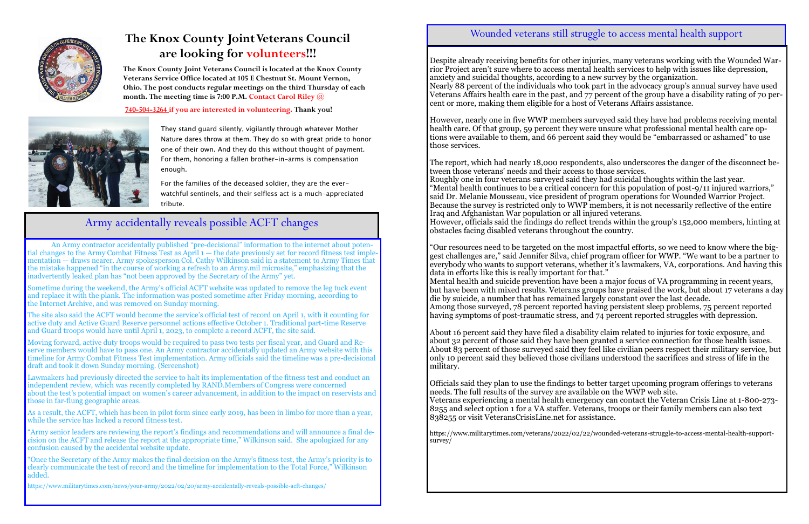

## **The Knox County Joint Veterans Council are looking for volunteers!!!**

They stand guard silently, vigilantly through whatever Mother Nature dares throw at them. They do so with great pride to honor one of their own. And they do this without thought of payment. For them, honoring a fallen brother-in-arms is compensation

enough.

For the families of the deceased soldier, they are the everwatchful sentinels, and their selfless act is a much-appreciated tribute.

**The Knox County Joint Veterans Council is located at the Knox County Veterans Service Office located at 105 E Chestnut St. Mount Vernon, Ohio. The post conducts regular meetings on the third Thursday of each month. The meeting time is 7:00 P.M. Contact Carol Riley @**

**740-504-3264 if you are interested in volunteering. Thank you!**



### Army accidentally reveals possible ACFT changes

An Army contractor accidentally published "pre-decisional" information to the internet about potential changes to the Army Combat Fitness Test as April 1 — the date previously set for record fitness test implementation — draws nearer. Army spokesperson Col. Cathy Wilkinson said in a statement to Army Times that the mistake happened "in the course of working a refresh to an Army.mil microsite," emphasizing that the inadvertently leaked plan has "not been approved by the Secretary of the Army" yet.

Sometime during the weekend, the Army's official ACFT website was updated to remove the leg tuck event and replace it with the plank. The information was posted sometime after Friday morning, according to the Internet Archive, and was removed on Sunday morning.

The site also said the ACFT would become the service's official test of record on April 1, with it counting for active duty and Active Guard Reserve personnel actions effective October 1. Traditional part-time Reserve and Guard troops would have until April 1, 2023, to complete a record ACFT, the site said.

Moving forward, active duty troops would be required to pass two tests per fiscal year, and Guard and Reserve members would have to pass one. An Army contractor accidentally updated an Army website with this timeline for Army Combat Fitness Test implementation. Army officials said the timeline was a pre-decisional draft and took it down Sunday morning. (Screenshot)

Lawmakers had previously directed the service to halt its implementation of the fitness test and conduct an independent review, which was recently completed by RAND.Members of Congress were concerned about the test's potential impact on women's career advancement, in addition to the impact on reservists and those in far-flung geographic areas.

"Our resources need to be targeted on the most impactful efforts, so we need to know where the biggest challenges are," said Jennifer Silva, chief program officer for WWP. "We want to be a partner to everybody who wants to support veterans, whether it's lawmakers, VA, corporations. And having this data in efforts like this is really important for that." Mental health and suicide prevention have been a major focus of VA programming in recent years, but have been with mixed results. Veterans groups have praised the work, but about 17 veterans a day die by suicide, a number that has remained largely constant over the last decade. Among those surveyed, 78 percent reported having persistent sleep problems, 75 percent reported having symptoms of post-traumatic stress, and 74 percent reported struggles with depression.

As a result, the ACFT, which has been in pilot form since early 2019, has been in limbo for more than a year, while the service has lacked a record fitness test.

"Army senior leaders are reviewing the report's findings and recommendations and will announce a final decision on the ACFT and release the report at the appropriate time," Wilkinson said. She apologized for any confusion caused by the accidental website update.

"Once the Secretary of the Army makes the final decision on the Army's fitness test, the Army's priority is to clearly communicate the test of record and the timeline for implementation to the Total Force," Wilkinson added.

https://www.militarytimes.com/news/your-army/2022/02/20/army-accidentally-reveals-possible-acft-changes/

#### Wounded veterans still struggle to access mental health support

Despite already receiving benefits for other injuries, many veterans working with the Wounded Warrior Project aren't sure where to access mental health services to help with issues like depression, anxiety and suicidal thoughts, according to a new survey by the organization. Nearly 88 percent of the individuals who took part in the advocacy group's annual survey have used Veterans Affairs health care in the past, and 77 percent of the group have a disability rating of 70 percent or more, making them eligible for a host of Veterans Affairs assistance.

However, nearly one in five WWP members surveyed said they have had problems receiving mental health care. Of that group, 59 percent they were unsure what professional mental health care options were available to them, and 66 percent said they would be "embarrassed or ashamed" to use those services.

The report, which had nearly 18,000 respondents, also underscores the danger of the disconnect between those veterans' needs and their access to those services. Roughly one in four veterans surveyed said they had suicidal thoughts within the last year. "Mental health continues to be a critical concern for this population of post-9/11 injured warriors," said Dr. Melanie Mousseau, vice president of program operations for Wounded Warrior Project. Because the survey is restricted only to WWP members, it is not necessarily reflective of the entire Iraq and Afghanistan War population or all injured veterans. However, officials said the findings do reflect trends within the group's 152,000 members, hinting at obstacles facing disabled veterans throughout the country.

About 16 percent said they have filed a disability claim related to injuries for toxic exposure, and about 32 percent of those said they have been granted a service connection for those health issues. About 83 percent of those surveyed said they feel like civilian peers respect their military service, but only 10 percent said they believed those civilians understood the sacrifices and stress of life in the military.

Officials said they plan to use the findings to better target upcoming program offerings to veterans needs. The full results of the survey are available on the WWP web site. Veterans experiencing a mental health emergency can contact the Veteran Crisis Line at 1-800-273- 8255 and select option 1 for a VA staffer. Veterans, troops or their family members can also text 838255 or visit VeteransCrisisLine.net for assistance.

https://www.militarytimes.com/veterans/2022/02/22/wounded-veterans-struggle-to-access-mental-health-supportsurvey/